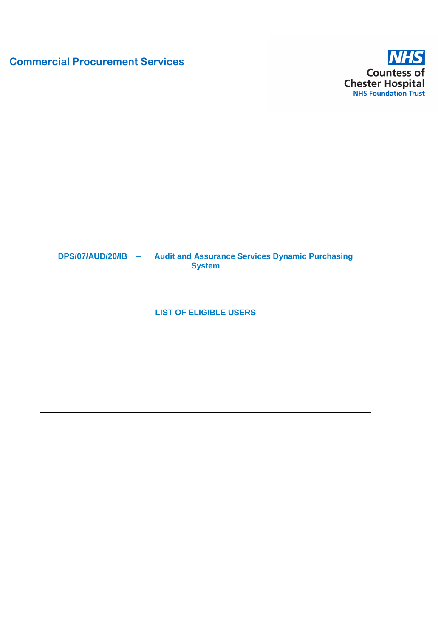# **Commercial Procurement Services**



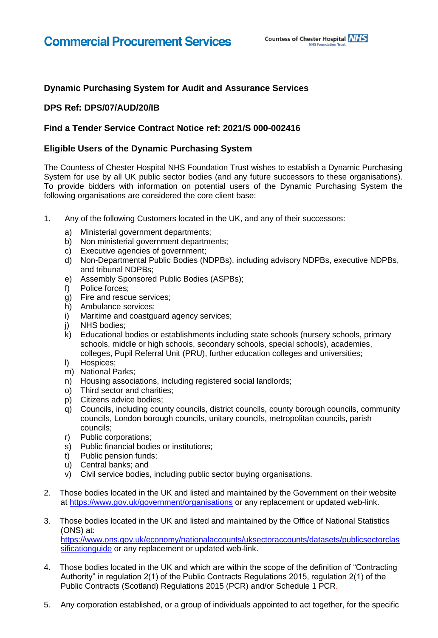## **Dynamic Purchasing System for Audit and Assurance Services**

### **DPS Ref: DPS/07/AUD/20/IB**

#### **Find a Tender Service Contract Notice ref: 2021/S 000-002416**

#### **Eligible Users of the Dynamic Purchasing System**

The Countess of Chester Hospital NHS Foundation Trust wishes to establish a Dynamic Purchasing System for use by all UK public sector bodies (and any future successors to these organisations). To provide bidders with information on potential users of the Dynamic Purchasing System the following organisations are considered the core client base:

- 1. Any of the following Customers located in the UK, and any of their successors:
	- a) Ministerial government departments;
	- b) Non ministerial government departments;
	- c) Executive agencies of government;
	- d) Non-Departmental Public Bodies (NDPBs), including advisory NDPBs, executive NDPBs, and tribunal NDPBs;
	- e) Assembly Sponsored Public Bodies (ASPBs);
	- f) Police forces;
	- g) Fire and rescue services;
	- h) Ambulance services;
	- i) Maritime and coastguard agency services;
	- j) NHS bodies;
	- k) Educational bodies or establishments including state schools (nursery schools, primary schools, middle or high schools, secondary schools, special schools), academies, colleges, Pupil Referral Unit (PRU), further education colleges and universities;
	- l) Hospices;
	- m) National Parks;
	- n) Housing associations, including registered social landlords;
	- o) Third sector and charities;
	- p) Citizens advice bodies;
	- q) Councils, including county councils, district councils, county borough councils, community councils, London borough councils, unitary councils, metropolitan councils, parish councils;
	- r) Public corporations;
	- s) Public financial bodies or institutions;
	- t) Public pension funds;
	- u) Central banks; and
	- v) Civil service bodies, including public sector buying organisations.
- 2. Those bodies located in the UK and listed and maintained by the Government on their website at<https://www.gov.uk/government/organisations> or any replacement or updated web-link.
- 3. Those bodies located in the UK and listed and maintained by the Office of National Statistics (ONS) at: [https://www.ons.gov.uk/economy/nationalaccounts/uksectoraccounts/datasets/publicsectorclas](https://www.ons.gov.uk/economy/nationalaccounts/uksectoraccounts/datasets/publicsectorclassificationguide) sificationquide or any replacement or updated web-link.
- 4. Those bodies located in the UK and which are within the scope of the definition of "Contracting Authority" in regulation 2(1) of the Public Contracts Regulations 2015, regulation 2(1) of the Public Contracts (Scotland) Regulations 2015 (PCR) and/or Schedule 1 PCR.
- 5. Any corporation established, or a group of individuals appointed to act together, for the specific